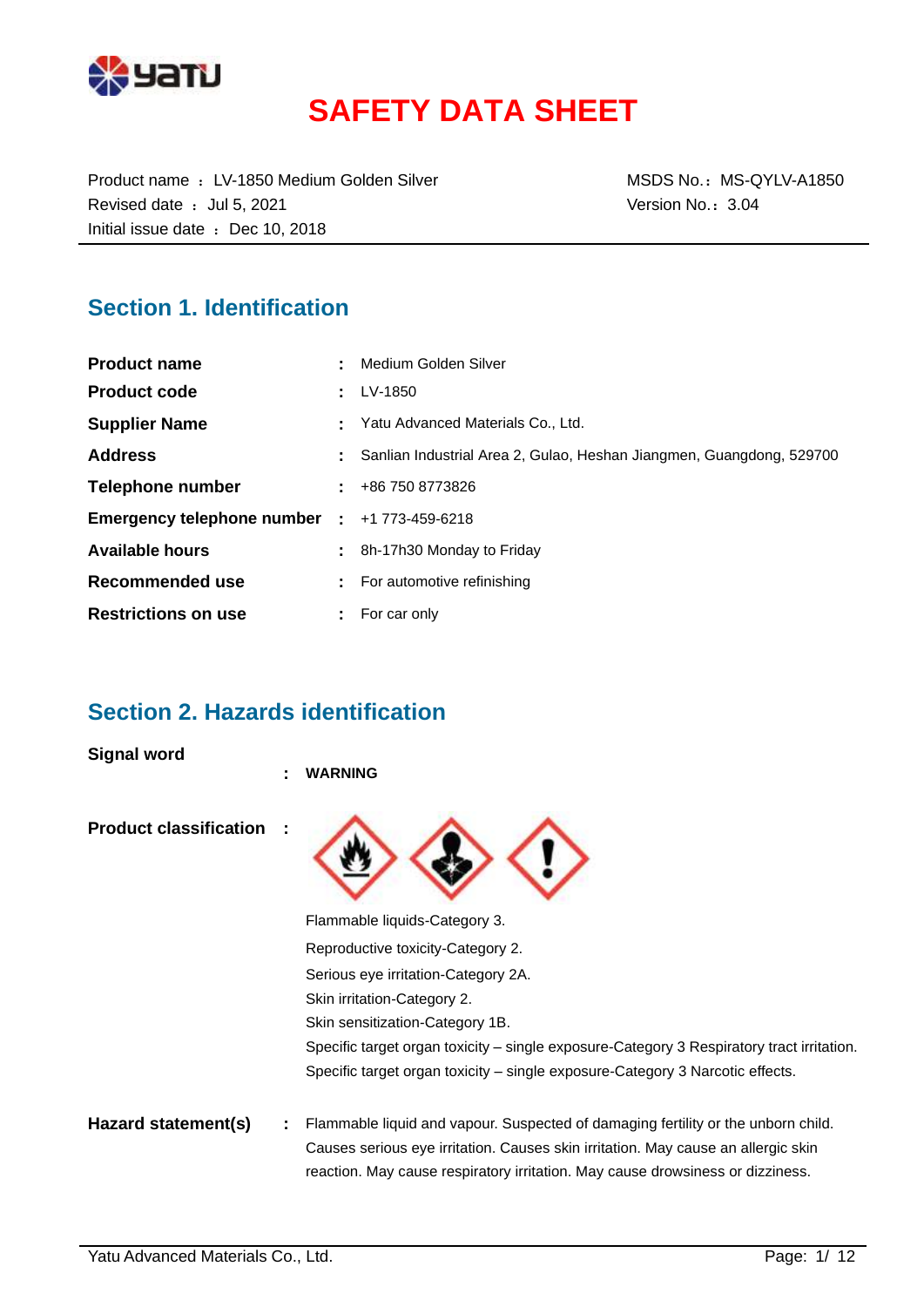

# **SAFETY DATA SHEET**

Product name : LV-1850 Medium Golden Silver MSDS No.: MS-QYLV-A1850 Revised date : Jul 5, 2021 Case of the Version No.: 3.04 Initial issue date : Dec 10, 2018

### **Section 1. Identification**

| <b>Product name</b>          | Medium Golden Silver                                                 |
|------------------------------|----------------------------------------------------------------------|
| <b>Product code</b>          | LV-1850                                                              |
| <b>Supplier Name</b>         | Yatu Advanced Materials Co., Ltd.                                    |
| <b>Address</b>               | Sanlian Industrial Area 2, Gulao, Heshan Jiangmen, Guangdong, 529700 |
| Telephone number             | +86 750 8773826                                                      |
| Emergency telephone number : | +1 773-459-6218                                                      |
| <b>Available hours</b>       | 8h-17h30 Monday to Friday                                            |
| Recommended use              | For automotive refinishing                                           |
| <b>Restrictions on use</b>   | For car only                                                         |

### **Section 2. Hazards identification**

**Signal word**

|                               | <b>WARNING</b>                                                                            |
|-------------------------------|-------------------------------------------------------------------------------------------|
| <b>Product classification</b> |                                                                                           |
|                               | Flammable liquids-Category 3.                                                             |
|                               | Reproductive toxicity-Category 2.                                                         |
|                               | Serious eye irritation-Category 2A.                                                       |
|                               | Skin irritation-Category 2.                                                               |
|                               | Skin sensitization-Category 1B.                                                           |
|                               | Specific target organ toxicity – single exposure-Category 3 Respiratory tract irritation. |
|                               | Specific target organ toxicity – single exposure-Category 3 Narcotic effects.             |
| Hazard statement(s)           | Flammable liquid and vapour. Suspected of damaging fertility or the unborn child.         |
|                               | Causes serious eye irritation. Causes skin irritation. May cause an allergic skin         |
|                               | reaction. May cause respiratory irritation. May cause drowsiness or dizziness.            |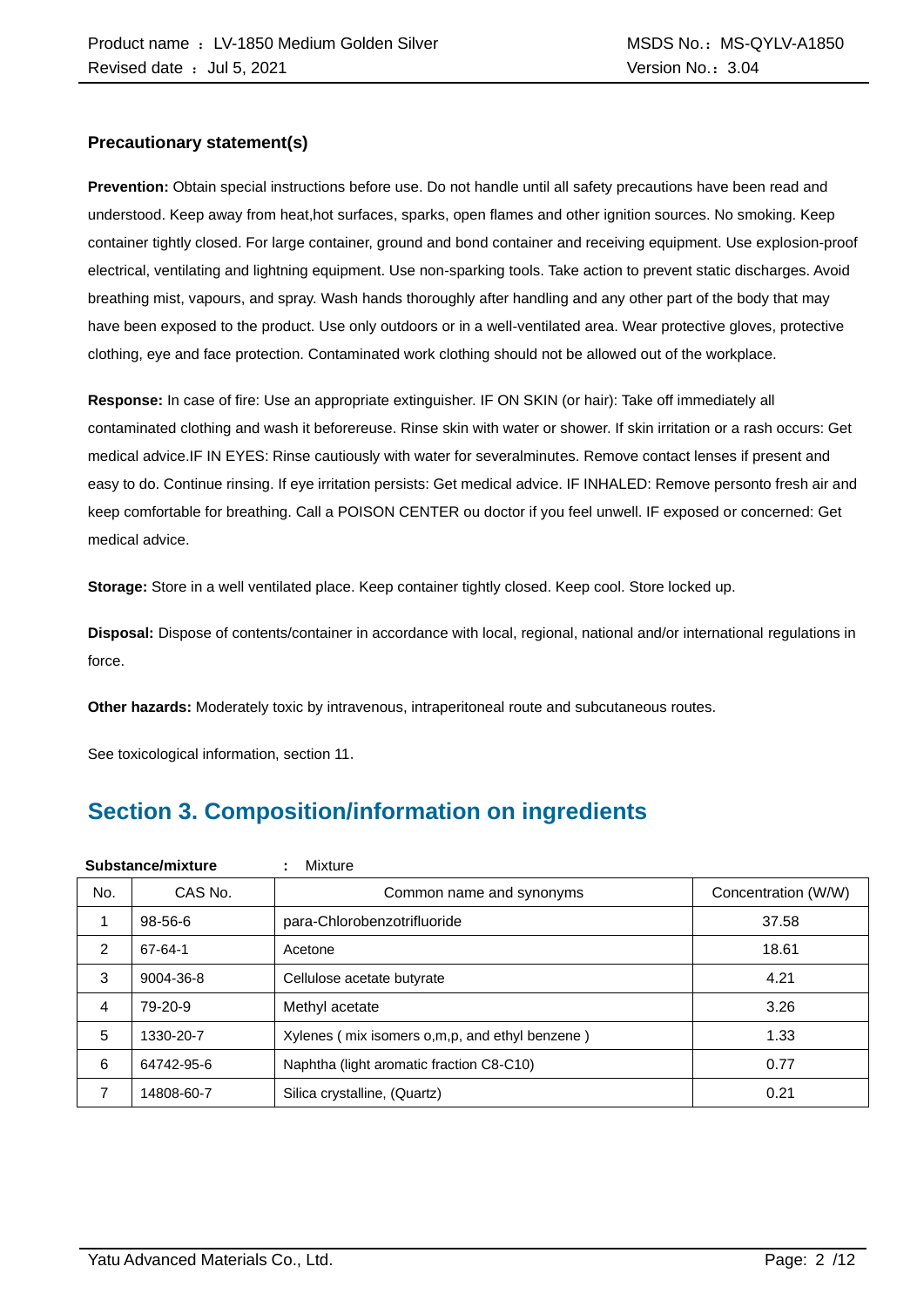#### **Precautionary statement(s)**

**Prevention:** Obtain special instructions before use. Do not handle until all safety precautions have been read and understood. Keep away from heat,hot surfaces, sparks, open flames and other ignition sources. No smoking. Keep container tightly closed. For large container, ground and bond container and receiving equipment. Use explosion-proof electrical, ventilating and lightning equipment. Use non-sparking tools. Take action to prevent static discharges. Avoid breathing mist, vapours, and spray. Wash hands thoroughly after handling and any other part of the body that may have been exposed to the product. Use only outdoors or in a well-ventilated area. Wear protective gloves, protective clothing, eye and face protection. Contaminated work clothing should not be allowed out of the workplace.

**Response:** In case of fire: Use an appropriate extinguisher. IF ON SKIN (or hair): Take off immediately all contaminated clothing and wash it beforereuse. Rinse skin with water or shower. If skin irritation or a rash occurs: Get medical advice.IF IN EYES: Rinse cautiously with water for severalminutes. Remove contact lenses if present and easy to do. Continue rinsing. If eye irritation persists: Get medical advice. IF INHALED: Remove personto fresh air and keep comfortable for breathing. Call a POISON CENTER ou doctor if you feel unwell. IF exposed or concerned: Get medical advice.

**Storage:** Store in a well ventilated place. Keep container tightly closed. Keep cool. Store locked up.

**Disposal:** Dispose of contents/container in accordance with local, regional, national and/or international regulations in force.

**Other hazards:** Moderately toxic by intravenous, intraperitoneal route and subcutaneous routes.

See toxicological information, section 11.

## **Section 3. Composition/information on ingredients**

|     | Substance/mixture | Mixture<br>÷                                   |                     |
|-----|-------------------|------------------------------------------------|---------------------|
| No. | CAS No.           | Common name and synonyms                       | Concentration (W/W) |
|     | $98 - 56 - 6$     | para-Chlorobenzotrifluoride                    | 37.58               |
| 2   | 67-64-1           | Acetone                                        | 18.61               |
| 3   | 9004-36-8         | Cellulose acetate butyrate                     | 4.21                |
| 4   | 79-20-9           | Methyl acetate                                 | 3.26                |
| 5   | 1330-20-7         | Xylenes (mix isomers o,m,p, and ethyl benzene) | 1.33                |
| 6   | 64742-95-6        | Naphtha (light aromatic fraction C8-C10)       | 0.77                |
| 7   | 14808-60-7        | Silica crystalline, (Quartz)                   | 0.21                |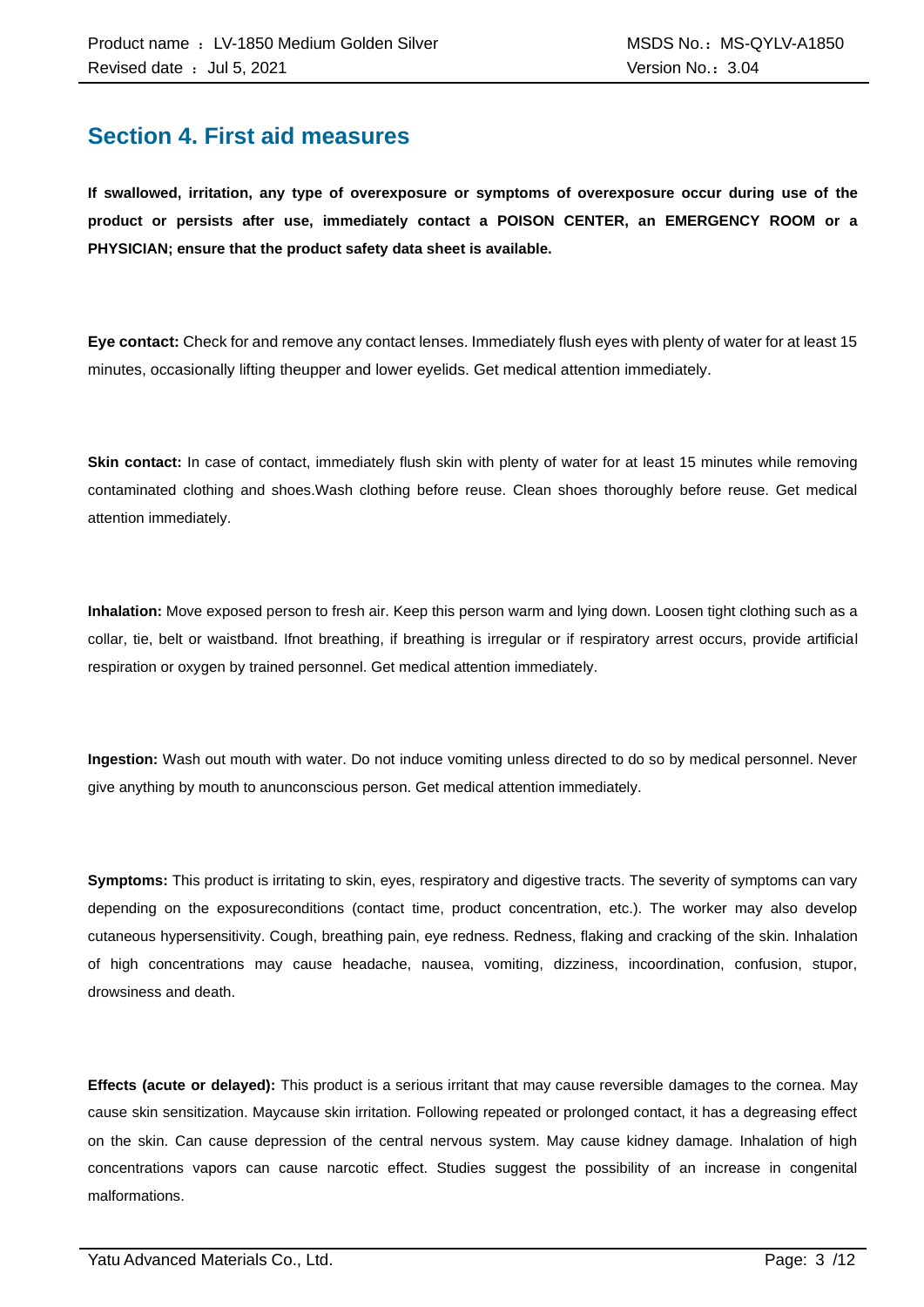### **Section 4. First aid measures**

**If swallowed, irritation, any type of overexposure or symptoms of overexposure occur during use of the product or persists after use, immediately contact a POISON CENTER, an EMERGENCY ROOM or a PHYSICIAN; ensure that the product safety data sheet is available.**

**Eye contact:** Check for and remove any contact lenses. Immediately flush eyes with plenty of water for at least 15 minutes, occasionally lifting theupper and lower eyelids. Get medical attention immediately.

**Skin contact:** In case of contact, immediately flush skin with plenty of water for at least 15 minutes while removing contaminated clothing and shoes.Wash clothing before reuse. Clean shoes thoroughly before reuse. Get medical attention immediately.

**Inhalation:** Move exposed person to fresh air. Keep this person warm and lying down. Loosen tight clothing such as a collar, tie, belt or waistband. Ifnot breathing, if breathing is irregular or if respiratory arrest occurs, provide artificial respiration or oxygen by trained personnel. Get medical attention immediately.

**Ingestion:** Wash out mouth with water. Do not induce vomiting unless directed to do so by medical personnel. Never give anything by mouth to anunconscious person. Get medical attention immediately.

**Symptoms:** This product is irritating to skin, eyes, respiratory and digestive tracts. The severity of symptoms can vary depending on the exposureconditions (contact time, product concentration, etc.). The worker may also develop cutaneous hypersensitivity. Cough, breathing pain, eye redness. Redness, flaking and cracking of the skin. Inhalation of high concentrations may cause headache, nausea, vomiting, dizziness, incoordination, confusion, stupor, drowsiness and death.

**Effects (acute or delayed):** This product is a serious irritant that may cause reversible damages to the cornea. May cause skin sensitization. Maycause skin irritation. Following repeated or prolonged contact, it has a degreasing effect on the skin. Can cause depression of the central nervous system. May cause kidney damage. Inhalation of high concentrations vapors can cause narcotic effect. Studies suggest the possibility of an increase in congenital malformations.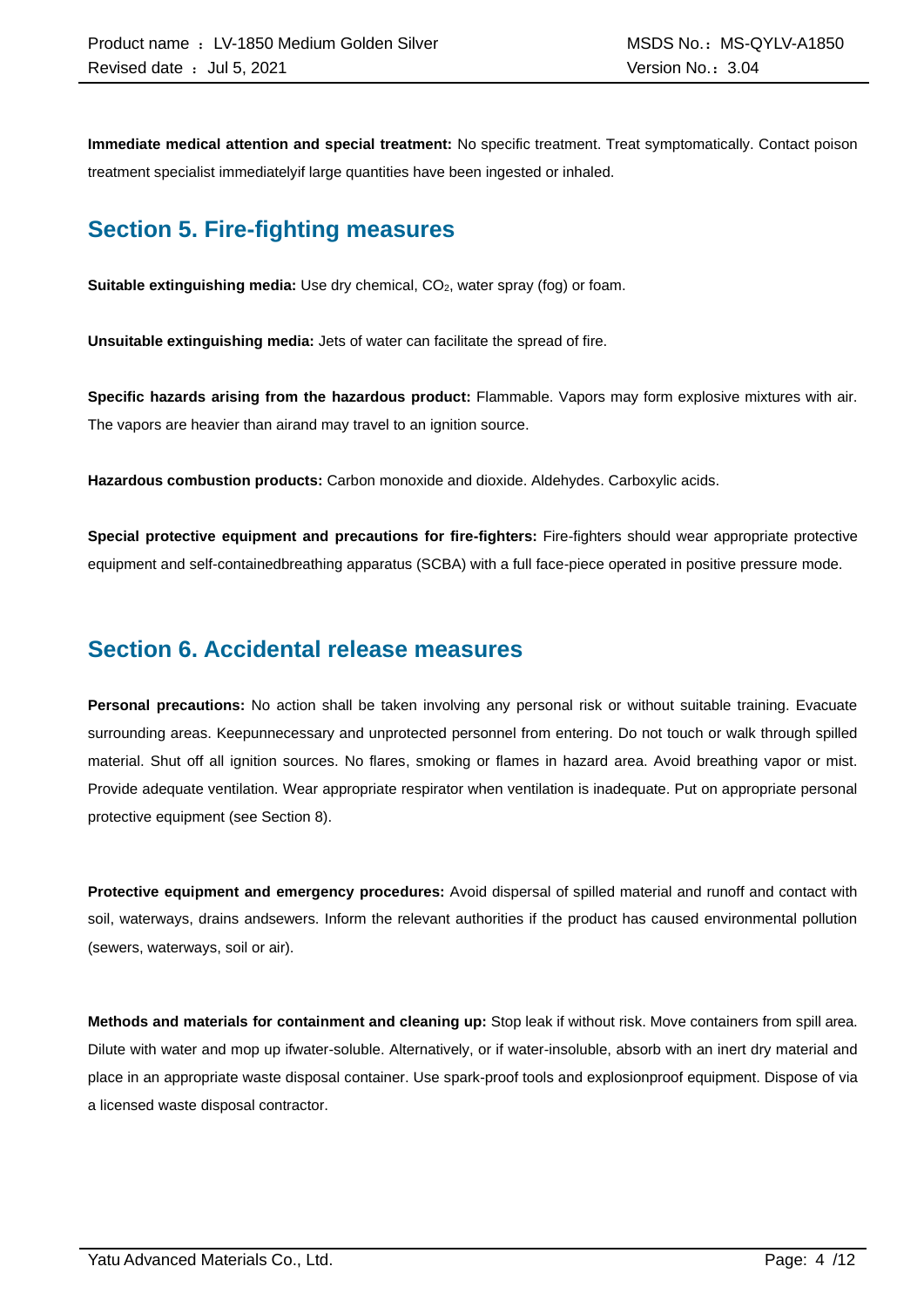**Immediate medical attention and special treatment:** No specific treatment. Treat symptomatically. Contact poison treatment specialist immediatelyif large quantities have been ingested or inhaled.

### **Section 5. Fire-fighting measures**

**Suitable extinguishing media:** Use dry chemical, CO<sub>2</sub>, water spray (fog) or foam.

**Unsuitable extinguishing media:** Jets of water can facilitate the spread of fire.

**Specific hazards arising from the hazardous product:** Flammable. Vapors may form explosive mixtures with air. The vapors are heavier than airand may travel to an ignition source.

**Hazardous combustion products:** Carbon monoxide and dioxide. Aldehydes. Carboxylic acids.

**Special protective equipment and precautions for fire-fighters:** Fire-fighters should wear appropriate protective equipment and self-containedbreathing apparatus (SCBA) with a full face-piece operated in positive pressure mode.

### **Section 6. Accidental release measures**

**Personal precautions:** No action shall be taken involving any personal risk or without suitable training. Evacuate surrounding areas. Keepunnecessary and unprotected personnel from entering. Do not touch or walk through spilled material. Shut off all ignition sources. No flares, smoking or flames in hazard area. Avoid breathing vapor or mist. Provide adequate ventilation. Wear appropriate respirator when ventilation is inadequate. Put on appropriate personal protective equipment (see Section 8).

**Protective equipment and emergency procedures:** Avoid dispersal of spilled material and runoff and contact with soil, waterways, drains andsewers. Inform the relevant authorities if the product has caused environmental pollution (sewers, waterways, soil or air).

**Methods and materials for containment and cleaning up:** Stop leak if without risk. Move containers from spill area. Dilute with water and mop up ifwater-soluble. Alternatively, or if water-insoluble, absorb with an inert dry material and place in an appropriate waste disposal container. Use spark-proof tools and explosionproof equipment. Dispose of via a licensed waste disposal contractor.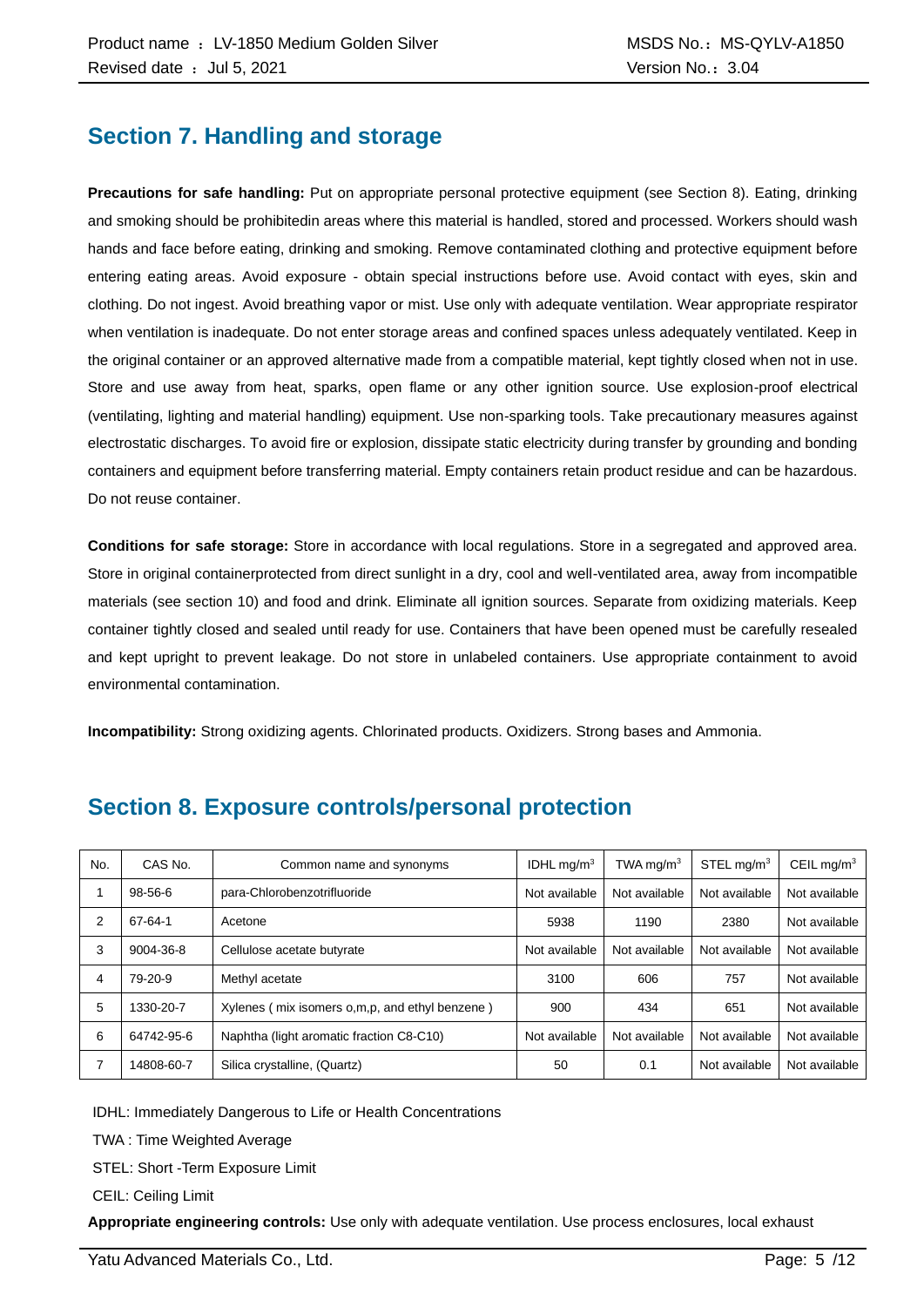### **Section 7. Handling and storage**

**Precautions for safe handling:** Put on appropriate personal protective equipment (see Section 8). Eating, drinking and smoking should be prohibitedin areas where this material is handled, stored and processed. Workers should wash hands and face before eating, drinking and smoking. Remove contaminated clothing and protective equipment before entering eating areas. Avoid exposure - obtain special instructions before use. Avoid contact with eyes, skin and clothing. Do not ingest. Avoid breathing vapor or mist. Use only with adequate ventilation. Wear appropriate respirator when ventilation is inadequate. Do not enter storage areas and confined spaces unless adequately ventilated. Keep in the original container or an approved alternative made from a compatible material, kept tightly closed when not in use. Store and use away from heat, sparks, open flame or any other ignition source. Use explosion-proof electrical (ventilating, lighting and material handling) equipment. Use non-sparking tools. Take precautionary measures against electrostatic discharges. To avoid fire or explosion, dissipate static electricity during transfer by grounding and bonding containers and equipment before transferring material. Empty containers retain product residue and can be hazardous. Do not reuse container.

**Conditions for safe storage:** Store in accordance with local regulations. Store in a segregated and approved area. Store in original containerprotected from direct sunlight in a dry, cool and well-ventilated area, away from incompatible materials (see section 10) and food and drink. Eliminate all ignition sources. Separate from oxidizing materials. Keep container tightly closed and sealed until ready for use. Containers that have been opened must be carefully resealed and kept upright to prevent leakage. Do not store in unlabeled containers. Use appropriate containment to avoid environmental contamination.

**Incompatibility:** Strong oxidizing agents. Chlorinated products. Oxidizers. Strong bases and Ammonia.

| No. | CAS No.    | Common name and synonyms                         | IDHL $mq/m3$  | TWA mg/m $3$  | STEL mg/m <sup>3</sup> | CEIL mg/ $m3$ |
|-----|------------|--------------------------------------------------|---------------|---------------|------------------------|---------------|
|     | 98-56-6    | para-Chlorobenzotrifluoride                      | Not available | Not available | Not available          | Not available |
| 2   | 67-64-1    | Acetone                                          | 5938          | 1190          | 2380                   | Not available |
| 3   | 9004-36-8  | Cellulose acetate butyrate                       | Not available | Not available | Not available          | Not available |
| 4   | 79-20-9    | Methyl acetate                                   | 3100          | 606           | 757                    | Not available |
| 5   | 1330-20-7  | Xylenes (mix isomers o, m, p, and ethyl benzene) | 900           | 434           | 651                    | Not available |
| 6   | 64742-95-6 | Naphtha (light aromatic fraction C8-C10)         | Not available | Not available | Not available          | Not available |
|     | 14808-60-7 | Silica crystalline, (Quartz)                     | 50            | 0.1           | Not available          | Not available |

### **Section 8. Exposure controls/personal protection**

IDHL: Immediately Dangerous to Life or Health Concentrations

TWA : Time Weighted Average

STEL: Short -Term Exposure Limit

CEIL: Ceiling Limit

**Appropriate engineering controls:** Use only with adequate ventilation. Use process enclosures, local exhaust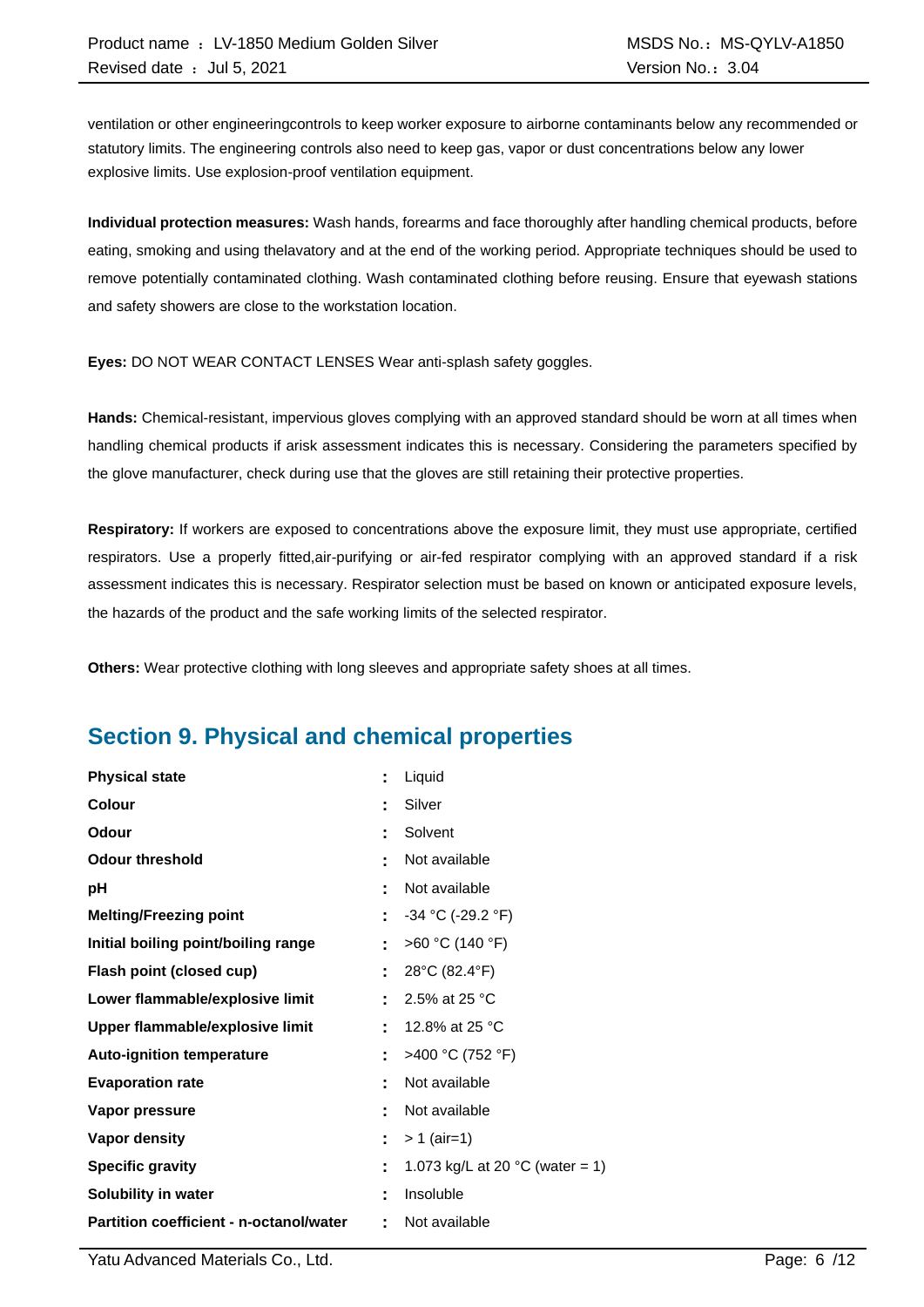ventilation or other engineeringcontrols to keep worker exposure to airborne contaminants below any recommended or statutory limits. The engineering controls also need to keep gas, vapor or dust concentrations below any lower explosive limits. Use explosion-proof ventilation equipment.

**Individual protection measures:** Wash hands, forearms and face thoroughly after handling chemical products, before eating, smoking and using thelavatory and at the end of the working period. Appropriate techniques should be used to remove potentially contaminated clothing. Wash contaminated clothing before reusing. Ensure that eyewash stations and safety showers are close to the workstation location.

**Eyes:** DO NOT WEAR CONTACT LENSES Wear anti-splash safety goggles.

**Hands:** Chemical-resistant, impervious gloves complying with an approved standard should be worn at all times when handling chemical products if arisk assessment indicates this is necessary. Considering the parameters specified by the glove manufacturer, check during use that the gloves are still retaining their protective properties.

**Respiratory:** If workers are exposed to concentrations above the exposure limit, they must use appropriate, certified respirators. Use a properly fitted,air-purifying or air-fed respirator complying with an approved standard if a risk assessment indicates this is necessary. Respirator selection must be based on known or anticipated exposure levels, the hazards of the product and the safe working limits of the selected respirator.

**Others:** Wear protective clothing with long sleeves and appropriate safety shoes at all times.

### **Section 9. Physical and chemical properties**

| <b>Physical state</b>                   | t  | Liquid                                    |
|-----------------------------------------|----|-------------------------------------------|
| Colour                                  | ٠  | Silver                                    |
| Odour                                   | t  | Solvent                                   |
| <b>Odour threshold</b>                  | ٠  | Not available                             |
| рH                                      | t  | Not available                             |
| <b>Melting/Freezing point</b>           | t  | $-34$ °C (-29.2 °F)                       |
| Initial boiling point/boiling range     | ÷  | >60 °C (140 °F)                           |
| Flash point (closed cup)                | t  | 28°C (82.4°F)                             |
| Lower flammable/explosive limit         |    | 2.5% at 25 °C                             |
| Upper flammable/explosive limit         | t  | 12.8% at 25 °C                            |
| <b>Auto-ignition temperature</b>        | Ì. | >400 °C (752 °F)                          |
| <b>Evaporation rate</b>                 | t  | Not available                             |
| Vapor pressure                          | ٠  | Not available                             |
| <b>Vapor density</b>                    | ÷  | $> 1$ (air=1)                             |
| <b>Specific gravity</b>                 | t  | 1.073 kg/L at 20 $^{\circ}$ C (water = 1) |
| Solubility in water                     | t  | Insoluble                                 |
| Partition coefficient - n-octanol/water | t  | Not available                             |

Yatu Advanced Materials Co., Ltd. Page: 6 /12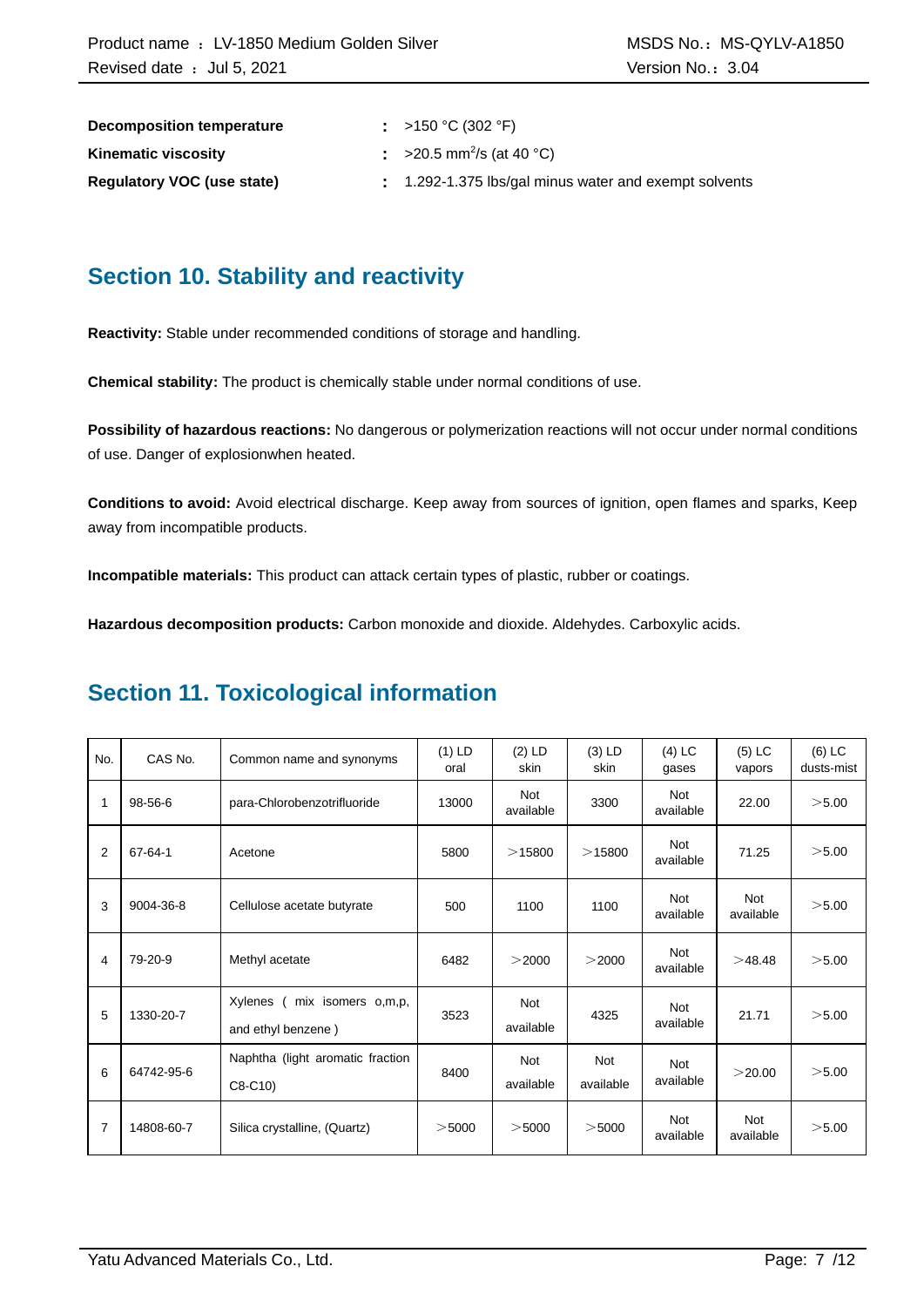| Decomposition temperature         | : >150 °C (302 °F)                                  |
|-----------------------------------|-----------------------------------------------------|
| <b>Kinematic viscosity</b>        | $\approx$ >20.5 mm <sup>2</sup> /s (at 40 °C)       |
| <b>Requiatory VOC (use state)</b> | 1.292-1.375 lbs/gal minus water and exempt solvents |

### **Section 10. Stability and reactivity**

**Reactivity:** Stable under recommended conditions of storage and handling.

**Chemical stability:** The product is chemically stable under normal conditions of use.

**Possibility of hazardous reactions:** No dangerous or polymerization reactions will not occur under normal conditions of use. Danger of explosionwhen heated.

**Conditions to avoid:** Avoid electrical discharge. Keep away from sources of ignition, open flames and sparks, Keep away from incompatible products.

**Incompatible materials:** This product can attack certain types of plastic, rubber or coatings.

**Hazardous decomposition products:** Carbon monoxide and dioxide. Aldehydes. Carboxylic acids.

### **Section 11. Toxicological information**

| No. | CAS No.       | Common name and synonyms                            | $(1)$ LD<br>oral | $(2)$ LD<br>skin        | $(3)$ LD<br>skin        | $(4)$ LC<br>gases       | $(5)$ LC<br>vapors      | $(6)$ LC<br>dusts-mist |
|-----|---------------|-----------------------------------------------------|------------------|-------------------------|-------------------------|-------------------------|-------------------------|------------------------|
| 1   | 98-56-6       | para-Chlorobenzotrifluoride                         | 13000            | <b>Not</b><br>available | 3300                    | Not<br>available        | 22.00                   | >5.00                  |
| 2   | $67 - 64 - 1$ | Acetone                                             | 5800             | >15800                  | >15800                  | <b>Not</b><br>available | 71.25                   | >5.00                  |
| 3   | 9004-36-8     | Cellulose acetate butyrate                          | 500              | 1100                    | 1100                    | <b>Not</b><br>available | <b>Not</b><br>available | >5.00                  |
| 4   | 79-20-9       | Methyl acetate                                      | 6482             | >2000                   | >2000                   | <b>Not</b><br>available | >48.48                  | >5.00                  |
| 5   | 1330-20-7     | Xylenes<br>mix isomers o,m,p,<br>and ethyl benzene) | 3523             | <b>Not</b><br>available | 4325                    | <b>Not</b><br>available | 21.71                   | >5.00                  |
| 6   | 64742-95-6    | Naphtha (light aromatic fraction<br>$C8-C10$        | 8400             | <b>Not</b><br>available | <b>Not</b><br>available | <b>Not</b><br>available | >20.00                  | >5.00                  |
| 7   | 14808-60-7    | Silica crystalline, (Quartz)                        | $>$ 5000         | $>$ 5000                | $>$ 5000                | <b>Not</b><br>available | <b>Not</b><br>available | >5.00                  |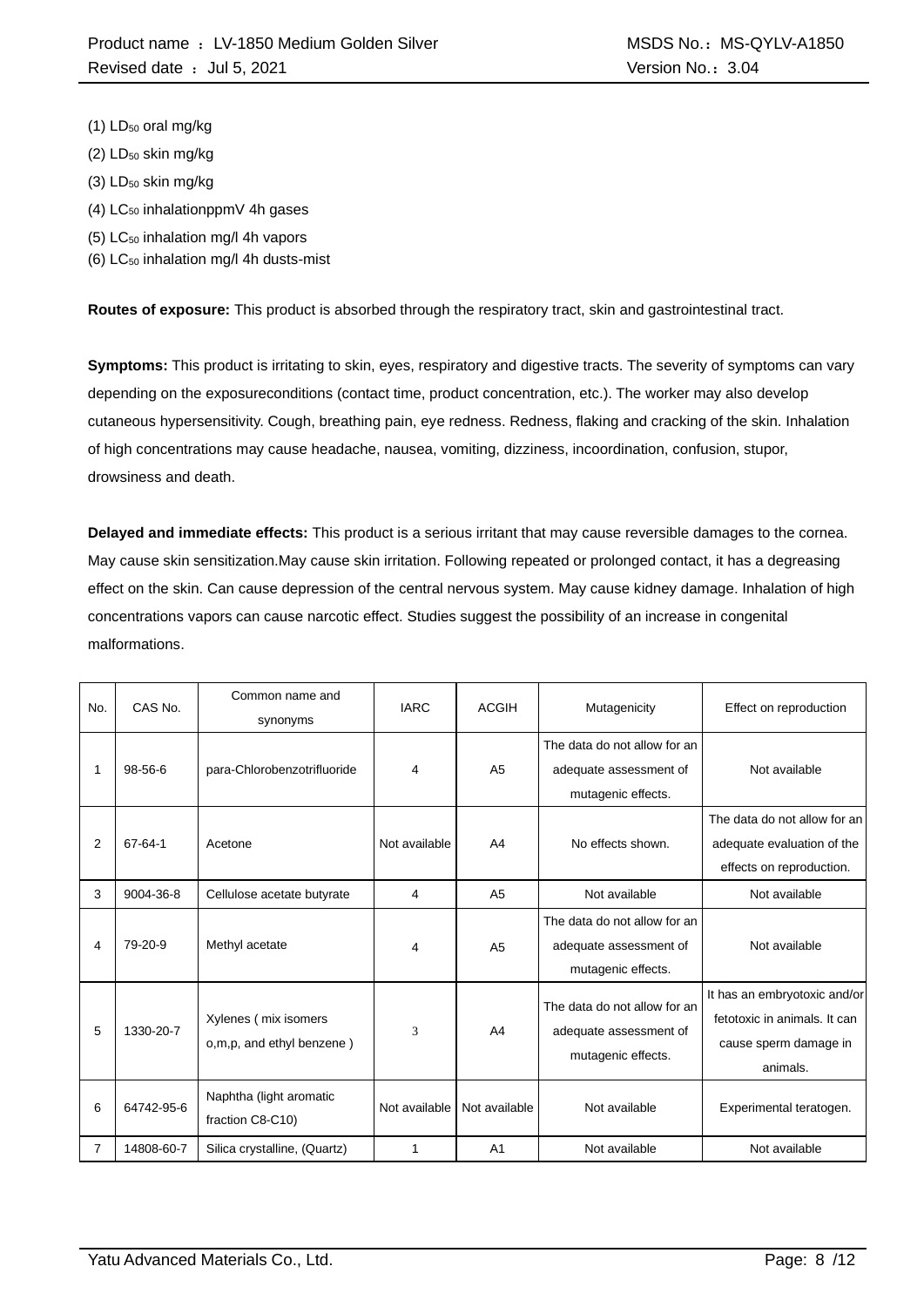- $(1)$  LD<sub>50</sub> oral mg/kg
- $(2)$  LD<sub>50</sub> skin mg/kg
- (3) LD<sub>50</sub> skin mg/kg
- $(4)$  LC<sub>50</sub> inhalationppmV 4h gases
- (5) LC<sup>50</sup> inhalation mg/l 4h vapors
- (6)  $LC_{50}$  inhalation mg/l 4h dusts-mist

**Routes of exposure:** This product is absorbed through the respiratory tract, skin and gastrointestinal tract.

**Symptoms:** This product is irritating to skin, eyes, respiratory and digestive tracts. The severity of symptoms can vary depending on the exposureconditions (contact time, product concentration, etc.). The worker may also develop cutaneous hypersensitivity. Cough, breathing pain, eye redness. Redness, flaking and cracking of the skin. Inhalation of high concentrations may cause headache, nausea, vomiting, dizziness, incoordination, confusion, stupor, drowsiness and death.

**Delayed and immediate effects:** This product is a serious irritant that may cause reversible damages to the cornea. May cause skin sensitization.May cause skin irritation. Following repeated or prolonged contact, it has a degreasing effect on the skin. Can cause depression of the central nervous system. May cause kidney damage. Inhalation of high concentrations vapors can cause narcotic effect. Studies suggest the possibility of an increase in congenital malformations.

| No. | CAS No.       | Common name and<br>synonyms                       | <b>IARC</b>   | <b>ACGIH</b>   | Mutagenicity                                                                 | Effect on reproduction                                                                            |
|-----|---------------|---------------------------------------------------|---------------|----------------|------------------------------------------------------------------------------|---------------------------------------------------------------------------------------------------|
|     | $98 - 56 - 6$ | para-Chlorobenzotrifluoride                       | 4             | A <sub>5</sub> | The data do not allow for an<br>adequate assessment of<br>mutagenic effects. | Not available                                                                                     |
| 2   | 67-64-1       | Acetone                                           | Not available | A <sub>4</sub> | No effects shown.                                                            | The data do not allow for an<br>adequate evaluation of the<br>effects on reproduction.            |
| 3   | 9004-36-8     | Cellulose acetate butyrate                        | 4             | A <sub>5</sub> | Not available                                                                | Not available                                                                                     |
| 4   | 79-20-9       | Methyl acetate                                    | 4             | A <sub>5</sub> | The data do not allow for an<br>adequate assessment of<br>mutagenic effects. | Not available                                                                                     |
| 5   | 1330-20-7     | Xylenes (mix isomers<br>o,m,p, and ethyl benzene) | 3             | A <sub>4</sub> | The data do not allow for an<br>adequate assessment of<br>mutagenic effects. | It has an embryotoxic and/or<br>fetotoxic in animals. It can<br>cause sperm damage in<br>animals. |
| 6   | 64742-95-6    | Naphtha (light aromatic<br>fraction C8-C10)       | Not available | Not available  | Not available                                                                | Experimental teratogen.                                                                           |
| 7   | 14808-60-7    | Silica crystalline, (Quartz)                      | 1             | A <sub>1</sub> | Not available                                                                | Not available                                                                                     |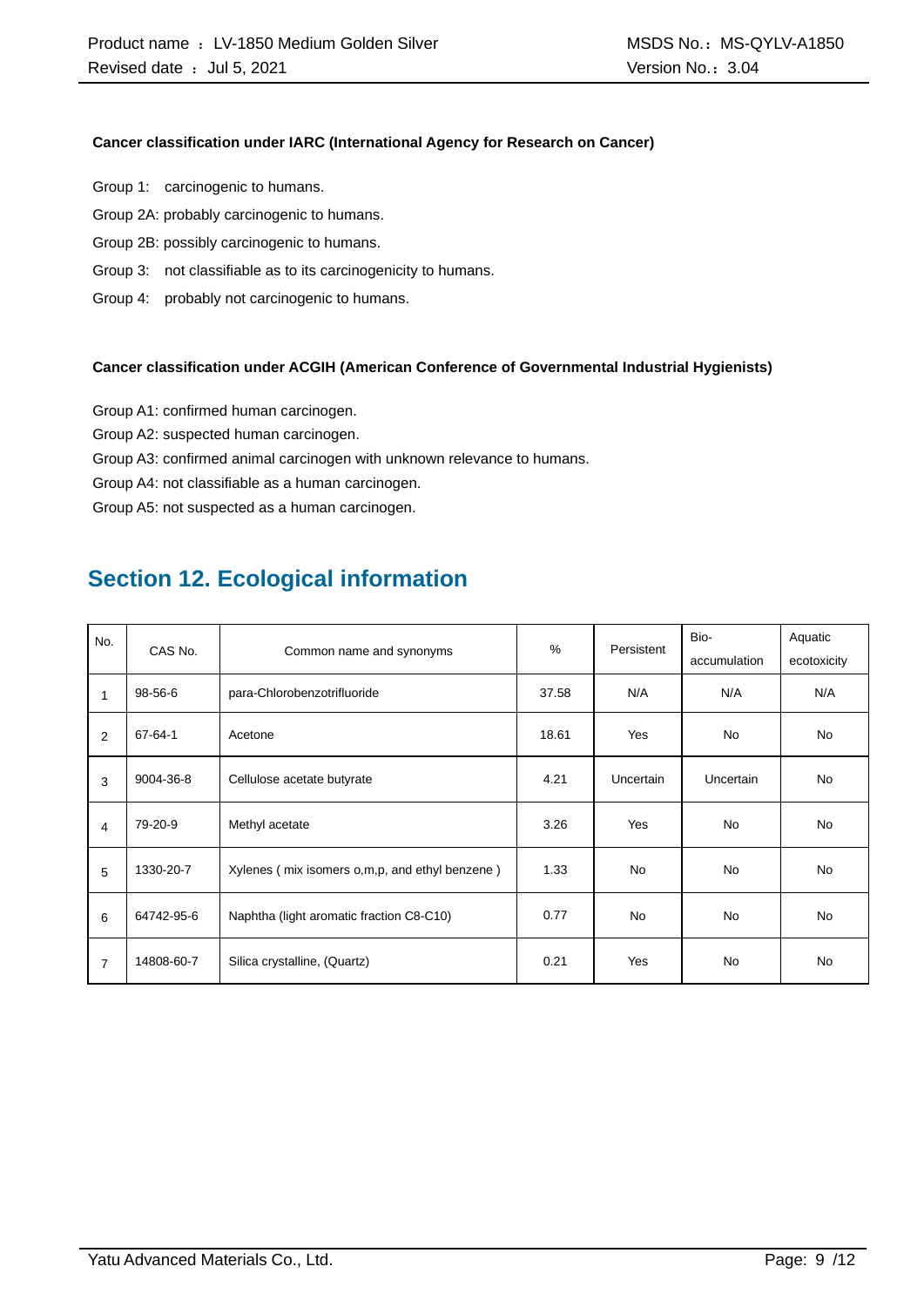#### **Cancer classification under IARC (International Agency for Research on Cancer)**

- Group 1: carcinogenic to humans.
- Group 2A: probably carcinogenic to humans.
- Group 2B: possibly carcinogenic to humans.
- Group 3: not classifiable as to its carcinogenicity to humans.
- Group 4: probably not carcinogenic to humans.

#### **Cancer classification under ACGIH (American Conference of Governmental Industrial Hygienists)**

- Group A1: confirmed human carcinogen.
- Group A2: suspected human carcinogen.
- Group A3: confirmed animal carcinogen with unknown relevance to humans.
- Group A4: not classifiable as a human carcinogen.

Group A5: not suspected as a human carcinogen.

### **Section 12. Ecological information**

| No.<br>CAS No. |               |                                                  | $\%$  | Persistent | Bio-             | Aquatic     |
|----------------|---------------|--------------------------------------------------|-------|------------|------------------|-------------|
|                |               | Common name and synonyms                         |       |            | accumulation     | ecotoxicity |
| $\mathbf{1}$   | 98-56-6       | para-Chlorobenzotrifluoride                      | 37.58 | N/A        | N/A              | N/A         |
| 2              | $67 - 64 - 1$ | Acetone                                          | 18.61 | Yes        | <b>No</b>        | <b>No</b>   |
| 3              | 9004-36-8     | Cellulose acetate butyrate                       | 4.21  | Uncertain  | <b>Uncertain</b> | <b>No</b>   |
| 4              | 79-20-9       | Methyl acetate                                   | 3.26  | Yes        | <b>No</b>        | <b>No</b>   |
| 5              | 1330-20-7     | Xylenes (mix isomers o, m, p, and ethyl benzene) | 1.33  | <b>No</b>  | <b>No</b>        | <b>No</b>   |
| 6              | 64742-95-6    | Naphtha (light aromatic fraction C8-C10)         | 0.77  | <b>No</b>  | <b>No</b>        | <b>No</b>   |
| $\overline{7}$ | 14808-60-7    | Silica crystalline, (Quartz)                     | 0.21  | Yes        | <b>No</b>        | <b>No</b>   |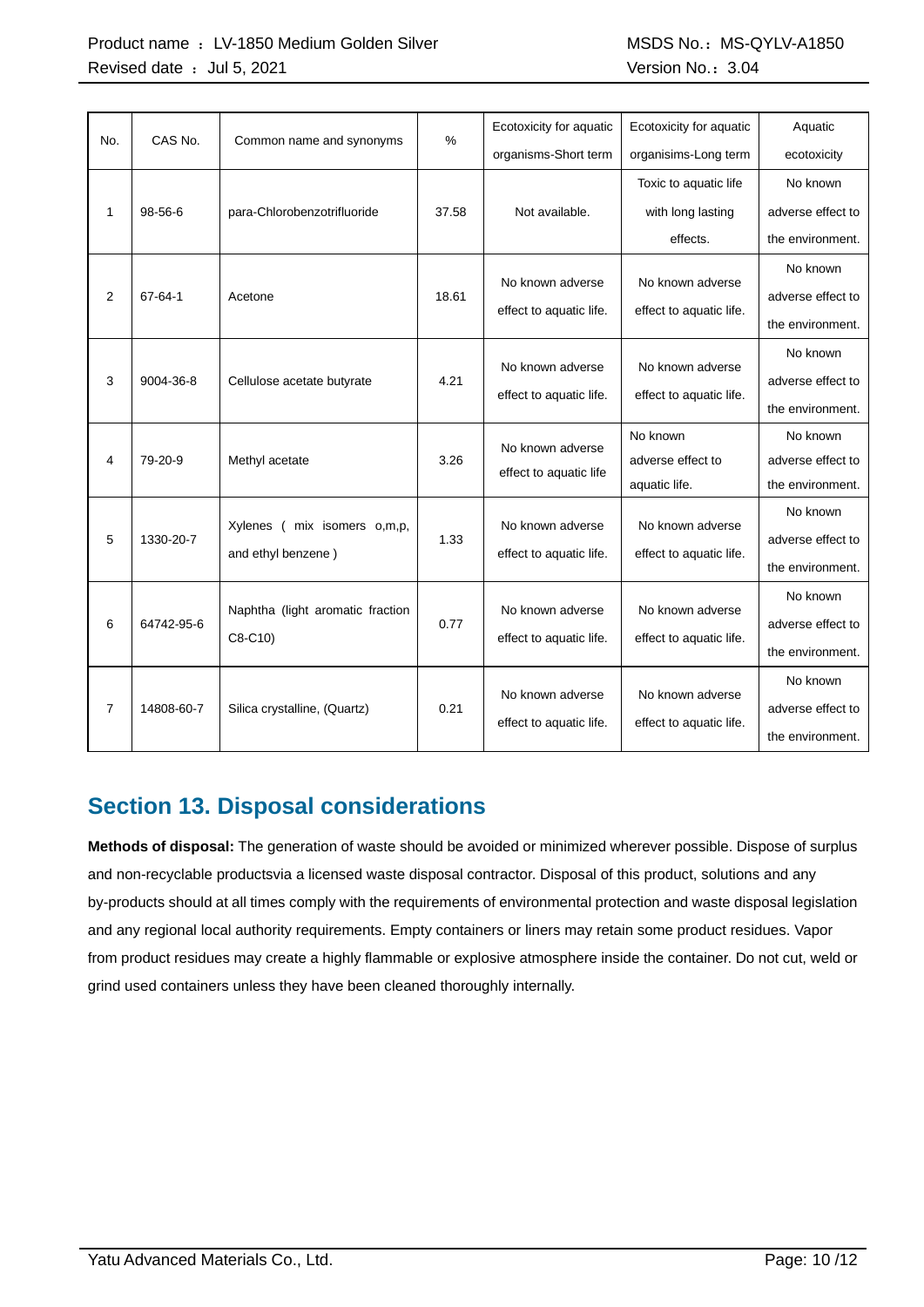|                |               |                                  | %                       | Ecotoxicity for aquatic | Ecotoxicity for aquatic | Aquatic           |
|----------------|---------------|----------------------------------|-------------------------|-------------------------|-------------------------|-------------------|
| No.            | CAS No.       | Common name and synonyms         |                         | organisms-Short term    | organisims-Long term    | ecotoxicity       |
|                |               |                                  |                         |                         | Toxic to aquatic life   | No known          |
| 1              | $98 - 56 - 6$ | para-Chlorobenzotrifluoride      | 37.58                   | Not available.          | with long lasting       | adverse effect to |
|                |               |                                  |                         |                         | effects.                | the environment.  |
|                |               |                                  |                         |                         |                         | No known          |
| $\overline{2}$ | 67-64-1       | Acetone                          | 18.61                   | No known adverse        | No known adverse        | adverse effect to |
|                |               |                                  |                         | effect to aquatic life. | effect to aquatic life. | the environment.  |
|                |               |                                  |                         |                         |                         | No known          |
| 3              | 9004-36-8     | Cellulose acetate butyrate       | 4.21                    | No known adverse        | No known adverse        | adverse effect to |
|                |               |                                  | effect to aquatic life. |                         | effect to aquatic life. | the environment.  |
|                |               |                                  |                         | No known adverse        | No known                | No known          |
| 4              | 79-20-9       | Methyl acetate                   | 3.26                    | effect to aquatic life  | adverse effect to       | adverse effect to |
|                |               |                                  |                         |                         | aquatic life.           | the environment.  |
|                |               | mix isomers o,m,p,<br>Xylenes (  |                         | No known adverse        | No known adverse        | No known          |
| 5              | 1330-20-7     | and ethyl benzene)               | 1.33                    | effect to aquatic life. | effect to aquatic life. | adverse effect to |
|                |               |                                  |                         |                         |                         |                   |
|                |               | Naphtha (light aromatic fraction |                         | No known adverse        | No known adverse        | No known          |
| 6              | 64742-95-6    |                                  | 0.77                    |                         |                         | adverse effect to |
|                |               | $C8-C10$                         |                         | effect to aquatic life. | effect to aquatic life. | the environment.  |
|                |               |                                  |                         |                         |                         | No known          |
| 7              | 14808-60-7    | Silica crystalline, (Quartz)     | 0.21                    | No known adverse        | No known adverse        | adverse effect to |
|                |               |                                  |                         | effect to aquatic life. | effect to aquatic life. | the environment.  |

## **Section 13. Disposal considerations**

**Methods of disposal:** The generation of waste should be avoided or minimized wherever possible. Dispose of surplus and non-recyclable productsvia a licensed waste disposal contractor. Disposal of this product, solutions and any by-products should at all times comply with the requirements of environmental protection and waste disposal legislation and any regional local authority requirements. Empty containers or liners may retain some product residues. Vapor from product residues may create a highly flammable or explosive atmosphere inside the container. Do not cut, weld or grind used containers unless they have been cleaned thoroughly internally.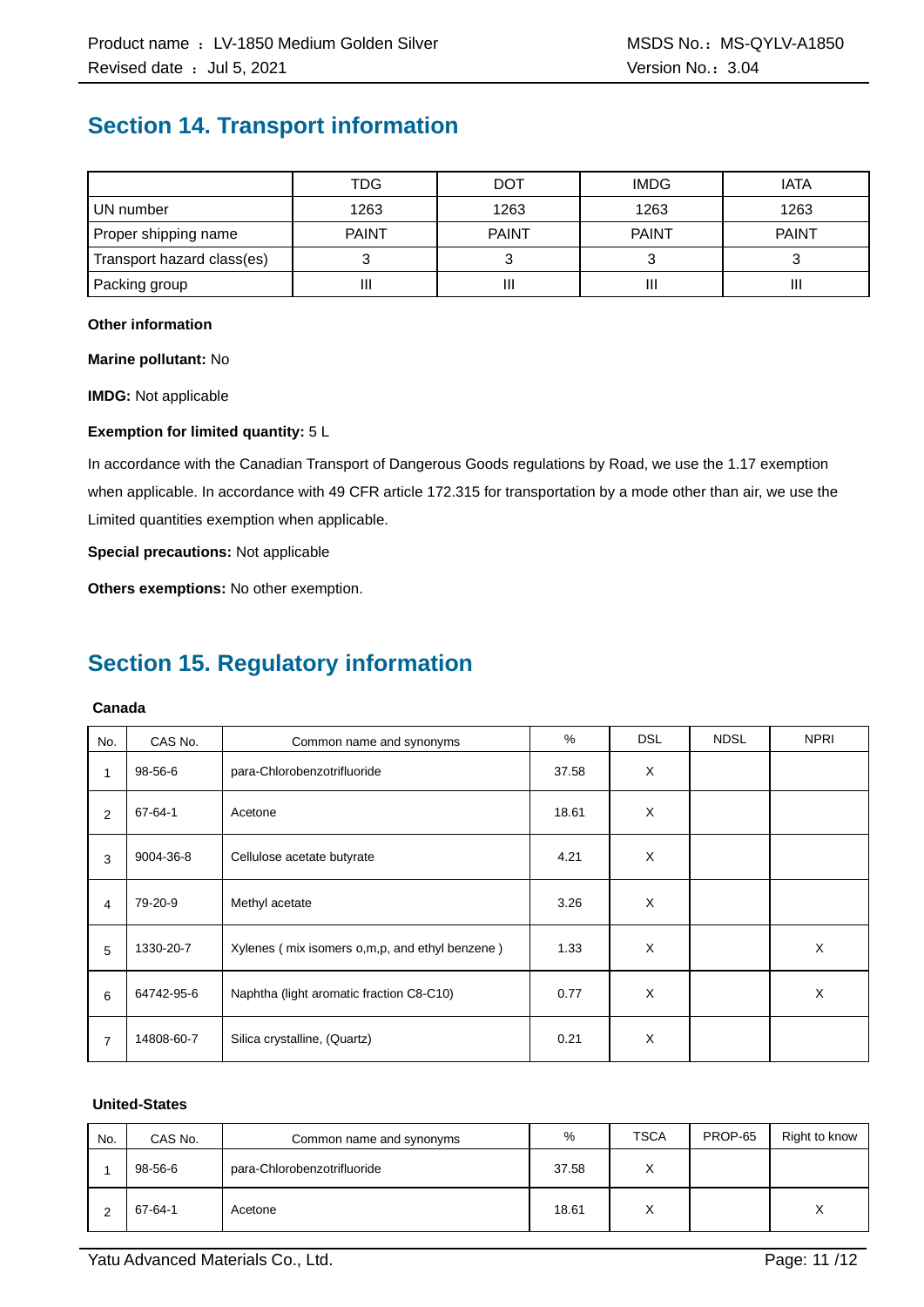### **Section 14. Transport information**

|                            | TDG          | DOT          | <b>IMDG</b>  | <b>IATA</b>  |
|----------------------------|--------------|--------------|--------------|--------------|
| UN number                  | 1263         | 1263         | 1263         | 1263         |
| Proper shipping name       | <b>PAINT</b> | <b>PAINT</b> | <b>PAINT</b> | <b>PAINT</b> |
| Transport hazard class(es) |              |              |              |              |
| Packing group              | II           | Ш            |              | Ш            |

#### **Other information**

**Marine pollutant:** No

**IMDG:** Not applicable

#### **Exemption for limited quantity:** 5 L

In accordance with the Canadian Transport of Dangerous Goods regulations by Road, we use the 1.17 exemption when applicable. In accordance with 49 CFR article 172.315 for transportation by a mode other than air, we use the Limited quantities exemption when applicable.

**Special precautions:** Not applicable

**Others exemptions:** No other exemption.

### **Section 15. Regulatory information**

#### **Canada**

| No. | CAS No.    | Common name and synonyms                       | %     | <b>DSL</b> | <b>NDSL</b> | <b>NPRI</b> |
|-----|------------|------------------------------------------------|-------|------------|-------------|-------------|
| 1   | 98-56-6    | para-Chlorobenzotrifluoride                    | 37.58 | X          |             |             |
| 2   | 67-64-1    | Acetone                                        | 18.61 | X          |             |             |
| 3   | 9004-36-8  | Cellulose acetate butyrate                     | 4.21  | X          |             |             |
| 4   | 79-20-9    | Methyl acetate                                 | 3.26  | X          |             |             |
| 5   | 1330-20-7  | Xylenes (mix isomers o,m,p, and ethyl benzene) | 1.33  | X          |             | X           |
| 6   | 64742-95-6 | Naphtha (light aromatic fraction C8-C10)       | 0.77  | X          |             | X           |
| 7   | 14808-60-7 | Silica crystalline, (Quartz)                   | 0.21  | X          |             |             |

#### **United-States**

| No. | CAS No. | Common name and synonyms    | %     | <b>TSCA</b>  | PROP-65 | Right to know    |
|-----|---------|-----------------------------|-------|--------------|---------|------------------|
|     | 98-56-6 | para-Chlorobenzotrifluoride | 37.58 | $\checkmark$ |         |                  |
|     | 67-64-1 | Acetone                     | 18.61 | $\checkmark$ |         | $\check{ }$<br>⋏ |